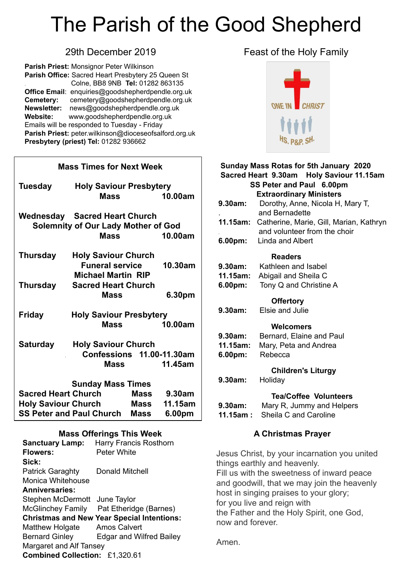# The Parish of the Good Shepherd

**Parish Priest:** Monsignor Peter Wilkinson **Parish Office:** Sacred Heart Presbytery 25 Queen St . Colne, BB8 9NB **Tel:** 01282 863135 **Office Email**: [enquiries@goodshepherdpendle.org.uk](mailto:enquiries@goodshepherdpendle.org.uk) **Cemetery:** cemetery@goodshepherdpendle.org.uk **Newsletter:** news@goodshepherdpendle.org.uk **Website:** www.goodshepherdpendle.org.uk Emails will be responded to Tuesday - Friday **Parish Priest:** [peter.wilkinson@dioceseofsalford.org.uk](mailto:Emailpeter.wilkinson@dioceseofsalford.org.uk) **Presbytery (priest) Tel:** 01282 936662

| <b>Mass Times for Next Week</b>                 |                                 |             |             |  |
|-------------------------------------------------|---------------------------------|-------------|-------------|--|
| <b>Tuesday</b>                                  | <b>Holy Saviour Presbytery</b>  |             |             |  |
|                                                 | <b>Mass</b>                     |             | 10.00am     |  |
|                                                 | Wednesday Sacred Heart Church   |             |             |  |
| <b>Solemnity of Our Lady Mother of God</b>      |                                 |             |             |  |
|                                                 | <b>Mass</b>                     |             | 10.00am     |  |
| <b>Thursday</b>                                 | <b>Holy Saviour Church</b>      |             |             |  |
|                                                 | <b>Funeral service</b>          |             | 10.30am     |  |
|                                                 |                                 |             |             |  |
| <b>Thursday</b>                                 | <b>Sacred Heart Church</b>      |             |             |  |
|                                                 | Mass                            |             | 6.30pm      |  |
| <b>Holy Saviour Presbytery</b><br><b>Friday</b> |                                 |             |             |  |
|                                                 | <b>Mass</b>                     |             | 10.00am     |  |
| <b>Saturday</b>                                 | <b>Holy Saviour Church</b>      |             |             |  |
|                                                 | Confessions 11.00-11.30am       |             |             |  |
|                                                 | <b>Mass</b>                     |             | 11.45am     |  |
|                                                 |                                 |             |             |  |
| <b>Sunday Mass Times</b>                        |                                 |             |             |  |
| <b>Sacred Heart Church</b>                      |                                 |             | Mass 9.30am |  |
| <b>Holy Saviour Church</b>                      |                                 | Mass        | 11.15am     |  |
|                                                 | <b>SS Peter and Paul Church</b> | <b>Mass</b> | 6.00pm      |  |
|                                                 |                                 |             |             |  |

#### **Mass Offerings This Week**

| <b>Sanctuary Lamp:</b>                            | Harry Francis Rosthorn                   |  |  |
|---------------------------------------------------|------------------------------------------|--|--|
| <b>Flowers:</b>                                   | Peter White                              |  |  |
| Sick:                                             |                                          |  |  |
| <b>Patrick Garaghty</b>                           | Donald Mitchell                          |  |  |
| Monica Whitehouse                                 |                                          |  |  |
| <b>Anniversaries:</b>                             |                                          |  |  |
| Stephen McDermott June Taylor                     |                                          |  |  |
|                                                   | McGlinchey Family Pat Etheridge (Barnes) |  |  |
| <b>Christmas and New Year Special Intentions:</b> |                                          |  |  |
| <b>Matthew Holgate</b>                            | <b>Amos Calvert</b>                      |  |  |
| <b>Bernard Ginley</b>                             | <b>Edgar and Wilfred Bailey</b>          |  |  |
| Margaret and Alf Tansey                           |                                          |  |  |
| Combined Collection: £1,320.61                    |                                          |  |  |
|                                                   |                                          |  |  |

### 29th December 2019 **Feast of the Holy Family**



#### **Sunday Mass Rotas for 5th January 2020 Sacred Heart 9.30am Holy Saviour 11.15am SS Peter and Paul 6.00pm Extraordinary Ministers 9.30am:** Dorothy, Anne, Nicola H, Mary T, . and Bernadette **11.15am:** Catherine, Marie, Gill, Marian, Kathryn . and volunteer from the choir **6.00pm:** Linda and Albert  **Readers 9.30am:** Kathleen and Isabel **11.15am:** Abigail and Sheila C **6.00pm:** Tony Q and Christine A  **Offertory 9.30am:** Elsie and Julie  **Welcomers 9.30am:** Bernard, Elaine and Paul **11.15am:** Mary, Peta and Andrea **6.00pm:** Rebecca  **Children's Liturgy 9.30am:** Holiday **Tea/Coffee Volunteers 9.30am:** Mary R, Jummy and Helpers **11.15am :** Sheila C and Caroline

#### **A Christmas Prayer**

Jesus Christ, by your incarnation you united things earthly and heavenly. Fill us with the sweetness of inward peace and goodwill, that we may join the heavenly host in singing praises to your glory; for you live and reign with the Father and the Holy Spirit, one God, now and forever.

Amen.